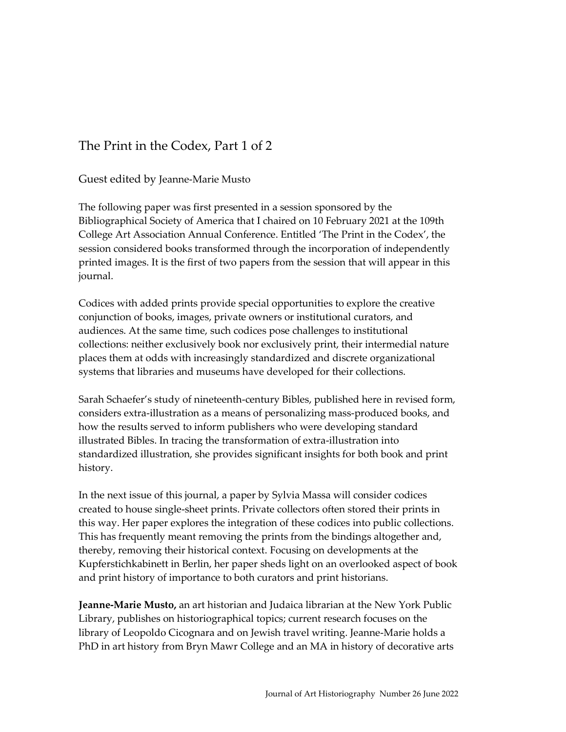## The Print in the Codex, Part 1 of 2

Guest edited by Jeanne-Marie Musto

The following paper was first presented in a session sponsored by the Bibliographical Society of America that I chaired on 10 February 2021 at the 109th College Art Association Annual Conference. Entitled 'The Print in the Codex', the session considered books transformed through the incorporation of independently printed images. It is the first of two papers from the session that will appear in this journal.

Codices with added prints provide special opportunities to explore the creative conjunction of books, images, private owners or institutional curators, and audiences. At the same time, such codices pose challenges to institutional collections: neither exclusively book nor exclusively print, their intermedial nature places them at odds with increasingly standardized and discrete organizational systems that libraries and museums have developed for their collections.

Sarah Schaefer's study of nineteenth-century Bibles, published here in revised form, considers extra-illustration as a means of personalizing mass-produced books, and how the results served to inform publishers who were developing standard illustrated Bibles. In tracing the transformation of extra-illustration into standardized illustration, she provides significant insights for both book and print history.

In the next issue of this journal, a paper by Sylvia Massa will consider codices created to house single-sheet prints. Private collectors often stored their prints in this way. Her paper explores the integration of these codices into public collections. This has frequently meant removing the prints from the bindings altogether and, thereby, removing their historical context. Focusing on developments at the Kupferstichkabinett in Berlin, her paper sheds light on an overlooked aspect of book and print history of importance to both curators and print historians.

**Jeanne-Marie Musto,** an art historian and Judaica librarian at the New York Public Library, publishes on historiographical topics; current research focuses on the library of Leopoldo Cicognara and on Jewish travel writing. Jeanne-Marie holds a PhD in art history from Bryn Mawr College and an MA in history of decorative arts